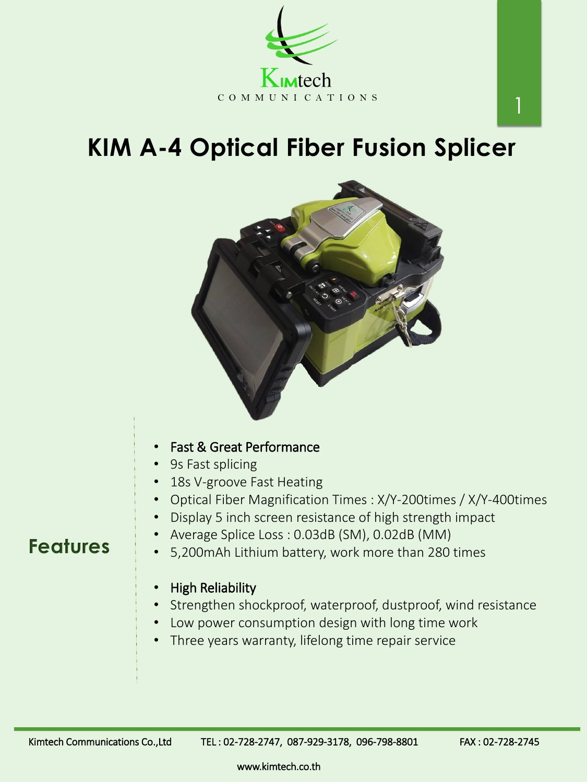## **KIM A-4 Optical Fiber Fusion Splicer**





## **Features**

www.kimtech.co.th

1

- Average Splice Loss : 0.03dB (SM), 0.02dB (MM) • 5,200mAh Lithium battery, work more than 280 times
- High Reliability
- Strengthen shockproof, waterproof, dustproof, wind resistance
- Low power consumption design with long time work
- Three years warranty, lifelong time repair service

Kimtech Communications Co.,Ltd TEL: 02-728-2747, 087-929-3178, 096-798-8801 FAX: 02-728-2745

- Fast & Great Performance
- 9s Fast splicing
- 18s V-groove Fast Heating
- Optical Fiber Magnification Times : X/Y-200times / X/Y-400times
- Display 5 inch screen resistance of high strength impact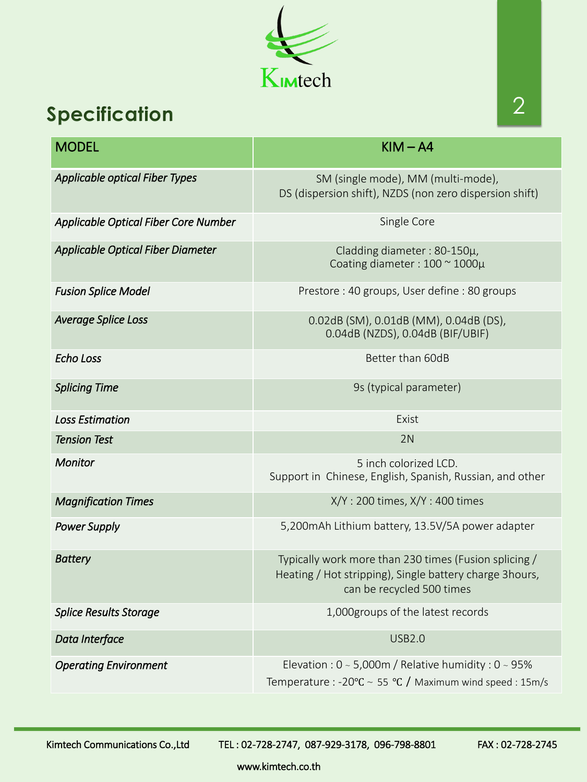www.kimtech.co.th



## **Specification**

| <b>MODEL</b>                                | $KIM - A4$                                                                                    |
|---------------------------------------------|-----------------------------------------------------------------------------------------------|
| <b>Applicable optical Fiber Types</b>       | SM (single mode), MM (multi-mode),<br>DS (dispersion shift), NZDS (non zero dispersion shift) |
| <b>Applicable Optical Fiber Core Number</b> | Single Core                                                                                   |
| <b>Applicable Optical Fiber Diameter</b>    | Cladding diameter: 80-150µ,<br>Coating diameter: 100 ~ 1000µ                                  |
| <b>Fusion Splice Model</b>                  | Prestore: 40 groups, User define: 80 groups                                                   |
| <b>Average Splice Loss</b>                  | 0.02dB (SM), 0.01dB (MM), 0.04dB (DS),<br>0.04dB (NZDS), 0.04dB (BIF/UBIF)                    |
| Echo Loss                                   | Better than 60dB                                                                              |
| <b>Splicing Time</b>                        | 9s (typical parameter)                                                                        |
| <b>Loss Estimation</b>                      | Exist                                                                                         |
| <b>Tension Test</b>                         | 2N                                                                                            |
| <b>Monitor</b>                              | 5 inch colorized LCD.<br>Support in Chinese, English, Spanish, Russian, and other             |
| <b>Magnification Times</b>                  | $X/Y$ : 200 times, $X/Y$ : 400 times                                                          |
| <b>Power Supply</b>                         | 5,200 mAh Lithium battery, 13.5V/5A power adapter                                             |

| <b>Battery</b>                | Typically work more than 230 times (Fusion splicing /<br>Heating / Hot stripping), Single battery charge 3hours,<br>can be recycled 500 times |
|-------------------------------|-----------------------------------------------------------------------------------------------------------------------------------------------|
| <b>Splice Results Storage</b> | 1,000 groups of the latest records                                                                                                            |
| Data Interface                | <b>USB2.0</b>                                                                                                                                 |
| <b>Operating Environment</b>  | Elevation : $0 \sim 5,000$ m / Relative humidity : $0 \sim 95\%$<br>Temperature : -20°C ~ 55 °C / Maximum wind speed : 15m/s                  |

Kimtech Communications Co.,Ltd TEL: 02-728-2747, 087-929-3178, 096-798-8801 FAX: 02-728-2745